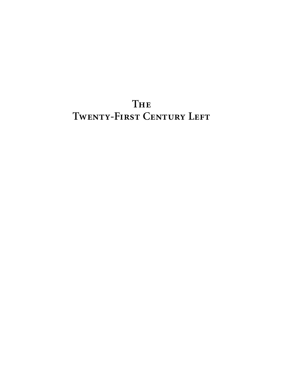## **The TWENTY-FIRST CENTURY LEFT**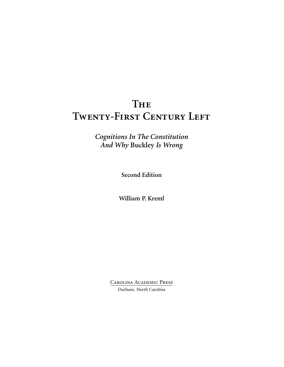## **The TWENTY-FIRST CENTURY LEFT**

*Cognitions In The Constitution And Why* **Buckley** *Is Wrong*

**Second Edition**

**William P. Kreml**

Carolina Academic Press Durham, North Carolina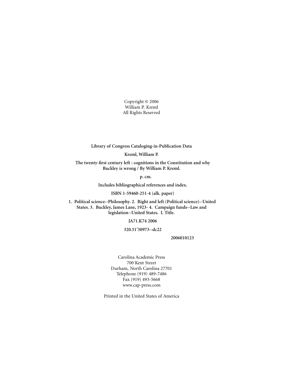Copyright © 2006 William P. Kreml All Rights Reserved

**Library of Congress Cataloging-in-Publication Data**

**Kreml, William P.**

**The twenty-first century left : cognitions in the Constitution and why Buckley is wrong / By William P. Kreml.**

**p. cm.**

**Includes bibliographical references and index.**

**ISBN 1-59460-251-4 (alk. paper)**

**1. Political science--Philosophy. 2. Right and left (Political science)--United States. 3. Buckley, James Lane, 1923- 4. Campaign funds--Law and legislation--United States. I. Title.**

**JA71.K74 2006**

**320.51'30973--dc22**

**2006010123**

Carolina Academic Press 700 Kent Street Durham, North Carolina 27701 Telephone (919) 489-7486 Fax (919) 493-5668 www.cap-press.com

Printed in the United States of America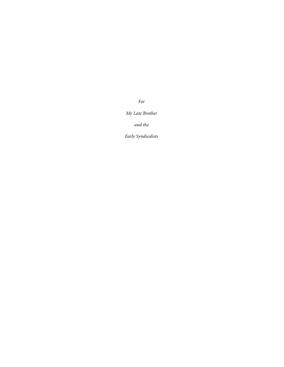*For*

*My Late Brother*

*and the*

*Early Syndicalists*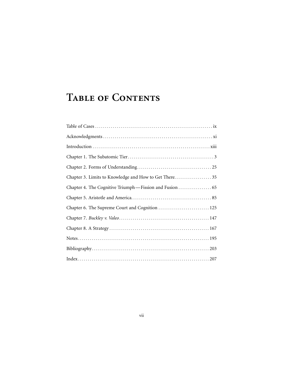# **Table of Contents**

| Chapter 3. Limits to Knowledge and How to Get There 35 |
|--------------------------------------------------------|
|                                                        |
|                                                        |
| Chapter 6. The Supreme Court and Cognition  125        |
|                                                        |
|                                                        |
|                                                        |
|                                                        |
| $Index \ldots 207$                                     |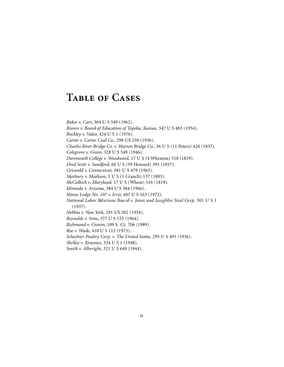## **Table of Cases**

*Baker v. Carr,* 369 U S 549 (1962). *Brown v. Board of Education of Topeka, Kansas,* 347 U S 483 (1954). *Buckley v. Valeo,* 424 U S 1 (1976). *Carter v. Carter Coal Co.,* 298 US 238 (1936). *Charles River Bridge Co. v. Warren Bridge Co.,* 36 U S (11 Peters) 420 (1837). *Colegrove v. Green,* 328 U S 549 (1946). *Dartmouth College v. Woodward,* 17 U S (4 Wheaton) 518 (1819). *Dred Scott v. Sandford,* 60 U S (39 Howard) 393 (1857). *Griswold v. Connecticut,* 381 U S 479 (1965). *Marbury v. Madison,* 5 U S (1 Cranch) 137 (1803). *McCulloch v. Maryland,* 17 U S (Wheat) 316 (1819). *Miranda v. Arizona,* 384 U S 384 (1966). *Moose Lodge No. 107 v. Irvis,* 407 U S 163 (1972). *National Labor Relations Board v. Jones and Laughlin Steel Corp, 301 U S 1* (1937). *Nebbia v. New York,* 291 US 502 (1934). *Reynolds v. Sims,* 377 U S 533 (1964). *Richmond v. Croson,* 109 S. Ct. 706 (1989). *Roe v. Wade,* 410 U S 113 (1973). *Schechter Poultry Corp. v. The United States,* 295 U S 495 (1936). *Shelley v. Kraemer,* 334 U S 1 (1948). *Smith v. Allwright,* 321 U S 649 (1944).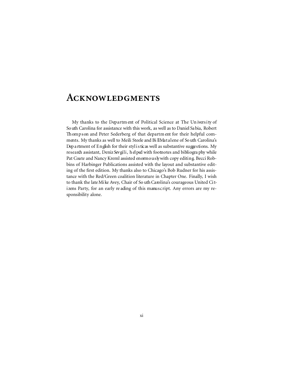### **Acknowledgments**

My thanks to the Departm ent of Political Science at The University of So uth Carolina for assistance with this work, as well as to Daniel Sa bia, Robert Th om p s on and Peter Sederberg of that departm ent for their helpful comments. My thanks as well to Meili Steele and Bi llMatalene of So uth Carolina's Dep a rtment of English for their styl is ticas well as substantive suggestions. My research assistant, Deniz Sevgili, h el ped with footnotes and bibliogra phy while Pat Coate and Nancy Kreml assisted enormously with copy editing. Becci Robbins of Harbinger Publications assisted with the layout and substantive editing of the first edition. My thanks also to Chicago's Bob Rudner for his assistance with the Red/Green coalition literature in Chapter One. Finally, I wish to thank the late Mi ke Avey, Chair of So uth Carolina's courageous United Citizens Party, for an early reading of this manuscript. Any errors are my responsibility alone.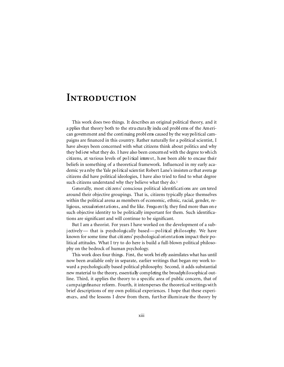### **Introduction**

This work does two things. It describes an original political theory, and it a pplies that theory both to the structurally induced problems of the American government and the continuing problems caused by the way political campaigns are financed in this country. Rather naturally for a political scientist, I have always been concerned with what citizens think about politics and why they believe what they do. I have also been concerned with the degree to which citizens, at various levels of political interest, have been able to encase their beliefs in something of a theoretical framework. Influenced in my early academic ye a rsby the Yale political scientist Robert Lane's insisten ce that avera ge citizens did have political ideologies, I have also tried to find to what degree such citizens understand why they believe what they do.<sup>1</sup>

Generally, most citi zens' conscious political identifications are cen tered around their objective groupings. That is, citizens typically place themselves within the political arena as members of economic, ethnic, racial, gender, religious, sexual orientations, and the like. Frequently, they find more than on e such objective identity to be politically important for them. Such identifications are significant and will continue to be significant.

But I am a theorist. For years I have worked on the development of a subj ectively— that is psychologically based—political philosophy. We have known for some time that citizens' psychological ori entations impact their political attitudes. What I try to do here is build a full-blown political philosophy on the bedrock of human psychology.

This work does four things. First, the work bri efly assimilates what has until now been available only in separate, earlier writings that began my work toward a psychologically based political philosophy. Second, it adds substantial new material to the theory, essentially completing the broad philosophical outline. Third, it applies the theory to a specific area of public concern, that of c ampaign finance reform. Fourth, it intersperses the theoretical writings with brief descriptions of my own political experiences. I hope that these experiences, and the lessons I drew from them, further illuminate the theory by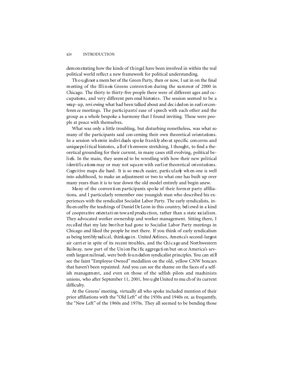#### xiv INTRODUCTION

dem on strating how the kinds of thingsI have been involved in within the real political world reflect a new framework for political understanding.

Th o u gh not a mem ber of the Green Party, then or now, I sat in on the final m eeting of the Illinois Greens convention during the summer of 2000 in Chicago. The thirty to thirty-five people there were of different ages and occupations, and very different pers onal histories. The session seemed to be a wrap-up, revi ewing what had been talked about and dec i ded on in earl i er conferen ce meetings. The participants' ease of speech with each other and the group as a whole bespoke a harmony that I found inviting. These were people at peace with themselves.

What was only a little troubling, but disturbing nonetheless, was what so many of the participants said con cerning their own theoretical orientations. In a session wh erein individuals spoke frankly about specific concerns and unique po litical histories, all of the emwere stretching, I thought, to find a theoretical grounding for their current, in many cases still evolving, political beliefs. In the main, they seem ed to be wrestling with how their new political i den ti fications may or may not square with earlier theoretical orientations. Cognitive maps die hard. It is so much easier, particularly wh en one is well into adulthood, to make an adjustment or two to what one has built up over many years than it is to tear down the old model entirely and begin anew.

Many of the convention participants spoke of their form er party affiliations, and I particularly remember one youngish man who described his experiences with the syndicalist Socialist Labor Party. The early syndicalists, influ en ced by the teachings of Daniel De Leon in this country, beli eved in a kind of cooperative orientation toward production, rather than a state socialism. They advocated worker ownership and worker management. Sitting there, I recalled that my late bro ther had gone to Socialist Labor Party meetings in Chicago and liked the people he met there. If you think of early syndicalism as being terri bly radical, think aga in. United Ainlines, America's second-largest air carri er in spite of its recent troubles, and the Chicago and Nort hwestern Railway, now part of the Union Pacific aggregation but on ce America's seventh largest railroad, were both fo un ded on syndicalist principles. You can still see the faint "Employee Owned" medallion on the old, yellow CNW boxcars that haven't been repainted. And you can see the shame on the faces of a selfish management, and even on those of the selfish pilots and machinists unions, who after September 11, 2001, bro u ght United to mu ch of its current difficulty.

At the Greens' meeting, virtually all who spoke included mention of their prior affiliations with the "Old Left" of the 1930s and 1940s or, as frequently, the "New Left" of the 1960s and 1970s. They all seemed to be bending those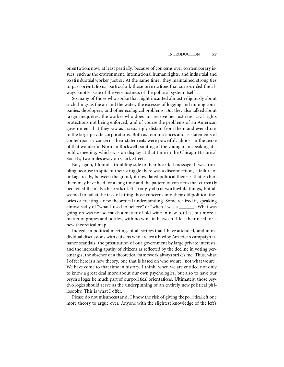ori en t a ti ons now, at least parti a lly, because of con cerns over con tem porary issues, such as the environment, international human rights, and industrial and pos tin dus trial worker justice. At the same time, they maintained strong ties to past orientations, particularly those orientations that surrounded the always-knotty issue of the very justness of the political system itself.

So many of those who spoke that night incanted almost religiously about such things as the air and the water, the excesses of logging and mining companies, developers, and other ecological problems. But they also talked about larger inequities, the worker who does not receive her just due, c ivil rights protections not being enforced, and of course the problems of an American government that they saw as increasingly distant from them and ever doser to the large private corporations. Both as reminiscences and as statements of contemporary con cern, their statem ents were powerful, almost in the sense of that wonderful Norman Rockwell painting of the young man speaking at a public meeting, which was on display at that time in the Chicago Historical Society, two miles away on Clark Street.

But, again, I found a troubling side to their heartfelt message. It was troubling because in spite of their struggle there was a disconnection, a failure of linkage really, between the grand, if now dated political theories that each of them may have held for a long time and the pattern of con cerns that currently bedeviled them. Each spe a ker felt strongly abo ut worthwhile things, but all seemed to fail at the task of fitting those concerns into their old political theories or creating a new theoretical understanding. Some realized it, speaking almost sadly of "what I used to believe" or "when I was a \_\_\_\_\_\_." What was going on was not so mu ch a matter of old wine in new bottles, but more a matter of grapes and bottles, with no wine in between. I felt their need for a new theoretical map.

Indeed, in political meetings of all stripes that I have attended, and in individual discussions with citizens who are troubledby Am erica's campaign finance scandals, the prostitution of our government by large private interests, and the increasing apathy of citizens as reflected by the decline in voting percentages, the absence of a theoretical fram ework always strikes me. Thus, what I of fer here is a new theory, one that is based on who we are , not what we are . We have come to that time in history, I think, when we are entitled not only to know a great deal more about our own psychologies, but also to have our psych o logies be much part of our political orientations. Ultimately, those psych o l ogies should serve as the underpinning of an entirely new political philosophy. This is what I offer.

Please do not misunderstand. I know the risk of giving the political left one more theory to argue over. Anyone with the slightest knowledge of the left's